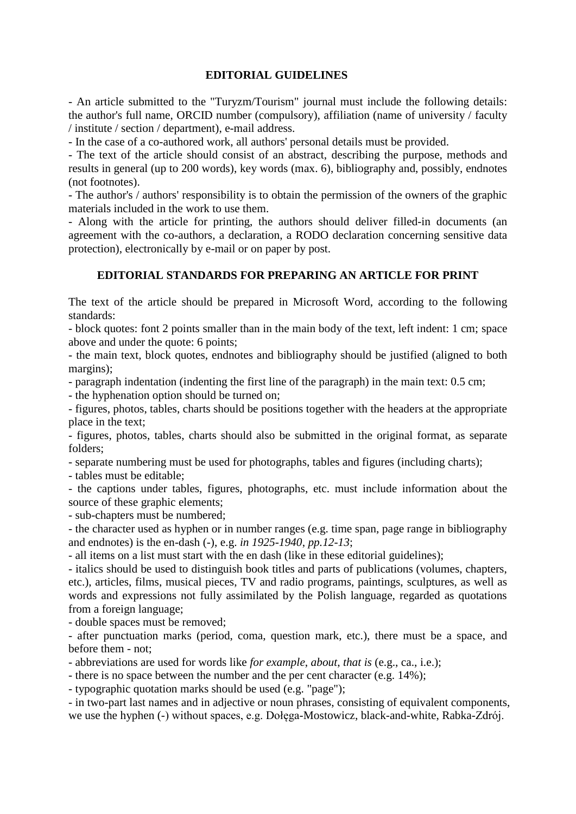## **EDITORIAL GUIDELINES**

- An article submitted to the "Turyzm/Tourism" journal must include the following details: the author's full name, ORCID number (compulsory), affiliation (name of university / faculty / institute / section / department), e-mail address.

- In the case of a co-authored work, all authors' personal details must be provided.

- The text of the article should consist of an abstract, describing the purpose, methods and results in general (up to 200 words), key words (max. 6), bibliography and, possibly, endnotes (not footnotes).

- The author's / authors' responsibility is to obtain the permission of the owners of the graphic materials included in the work to use them.

- Along with the article for printing, the authors should deliver filled-in documents (an agreement with the co-authors, a declaration, a RODO declaration concerning sensitive data protection), electronically by e-mail or on paper by post.

## **EDITORIAL STANDARDS FOR PREPARING AN ARTICLE FOR PRINT**

The text of the article should be prepared in Microsoft Word, according to the following standards:

- block quotes: font 2 points smaller than in the main body of the text, left indent: 1 cm; space above and under the quote: 6 points;

- the main text, block quotes, endnotes and bibliography should be justified (aligned to both margins);

- paragraph indentation (indenting the first line of the paragraph) in the main text: 0.5 cm;

- the hyphenation option should be turned on;

- figures, photos, tables, charts should be positions together with the headers at the appropriate place in the text;

- figures, photos, tables, charts should also be submitted in the original format, as separate folders;

- separate numbering must be used for photographs, tables and figures (including charts);

- tables must be editable;

- the captions under tables, figures, photographs, etc. must include information about the source of these graphic elements;

- sub-chapters must be numbered;

- the character used as hyphen or in number ranges (e.g. time span, page range in bibliography and endnotes) is the en-dash (-), e.g. *in 1925-1940*, *pp.12-13*;

- all items on a list must start with the en dash (like in these editorial guidelines);

- italics should be used to distinguish book titles and parts of publications (volumes, chapters, etc.), articles, films, musical pieces, TV and radio programs, paintings, sculptures, as well as words and expressions not fully assimilated by the Polish language, regarded as quotations from a foreign language;

- double spaces must be removed;

- after punctuation marks (period, coma, question mark, etc.), there must be a space, and before them - not;

- abbreviations are used for words like *for example*, *about*, *that is* (e.g., ca., i.e.);

- there is no space between the number and the per cent character (e.g. 14%);

- typographic quotation marks should be used (e.g. "page");

- in two-part last names and in adjective or noun phrases, consisting of equivalent components, we use the hyphen (-) without spaces, e.g. Dołęga-Mostowicz, black-and-white, Rabka-Zdrój.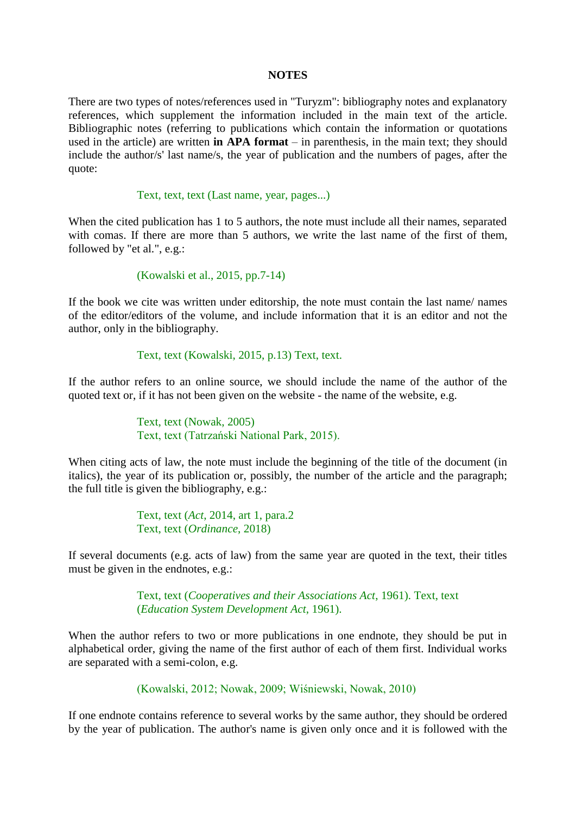#### **NOTES**

There are two types of notes/references used in "Turyzm": bibliography notes and explanatory references, which supplement the information included in the main text of the article. Bibliographic notes (referring to publications which contain the information or quotations used in the article) are written **in APA format** – in parenthesis, in the main text; they should include the author/s' last name/s, the year of publication and the numbers of pages, after the quote:

#### Text, text, text (Last name, year, pages...)

When the cited publication has 1 to 5 authors, the note must include all their names, separated with comas. If there are more than 5 authors, we write the last name of the first of them, followed by "et al.", e.g.:

(Kowalski et al., 2015, pp.7-14)

If the book we cite was written under editorship, the note must contain the last name/ names of the editor/editors of the volume, and include information that it is an editor and not the author, only in the bibliography.

Text, text (Kowalski, 2015, p.13) Text, text.

If the author refers to an online source, we should include the name of the author of the quoted text or, if it has not been given on the website - the name of the website, e.g.

> Text, text (Nowak, 2005) Text, text (Tatrzański National Park, 2015).

When citing acts of law, the note must include the beginning of the title of the document (in italics), the year of its publication or, possibly, the number of the article and the paragraph; the full title is given the bibliography, e.g.:

> Text, text (*Act*, 2014, art 1, para.2 Text, text (*Ordinance*, 2018)

If several documents (e.g. acts of law) from the same year are quoted in the text, their titles must be given in the endnotes, e.g.:

> Text, text (*Cooperatives and their Associations Act*, 1961). Text, text (*Education System Development Act*, 1961).

When the author refers to two or more publications in one endnote, they should be put in alphabetical order, giving the name of the first author of each of them first. Individual works are separated with a semi-colon, e.g.

(Kowalski, 2012; Nowak, 2009; Wiśniewski, Nowak, 2010)

If one endnote contains reference to several works by the same author, they should be ordered by the year of publication. The author's name is given only once and it is followed with the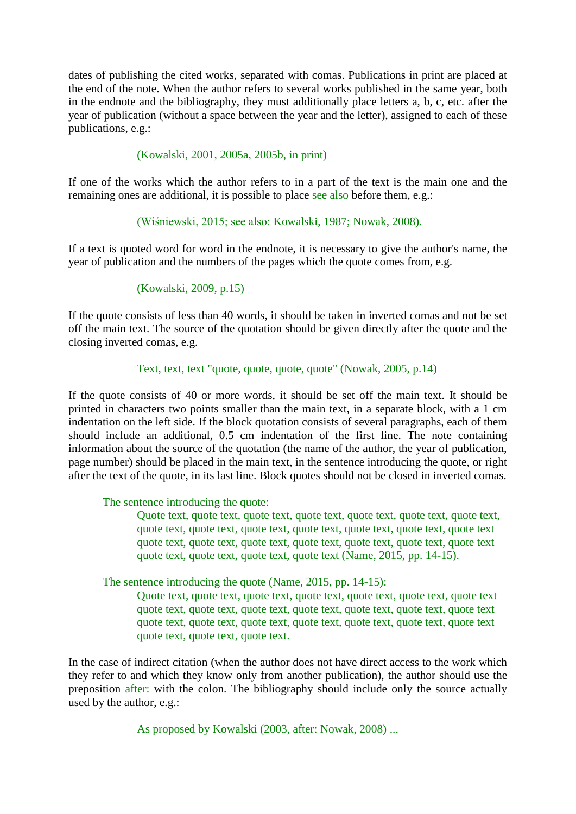dates of publishing the cited works, separated with comas. Publications in print are placed at the end of the note. When the author refers to several works published in the same year, both in the endnote and the bibliography, they must additionally place letters a, b, c, etc. after the year of publication (without a space between the year and the letter), assigned to each of these publications, e.g.:

# (Kowalski, 2001, 2005a, 2005b, in print)

If one of the works which the author refers to in a part of the text is the main one and the remaining ones are additional, it is possible to place see also before them, e.g.:

(Wiśniewski, 2015; see also: Kowalski, 1987; Nowak, 2008).

If a text is quoted word for word in the endnote, it is necessary to give the author's name, the year of publication and the numbers of the pages which the quote comes from, e.g.

# (Kowalski, 2009, p.15)

If the quote consists of less than 40 words, it should be taken in inverted comas and not be set off the main text. The source of the quotation should be given directly after the quote and the closing inverted comas, e.g.

## Text, text, text "quote, quote, quote, quote" (Nowak, 2005, p.14)

If the quote consists of 40 or more words, it should be set off the main text. It should be printed in characters two points smaller than the main text, in a separate block, with a 1 cm indentation on the left side. If the block quotation consists of several paragraphs, each of them should include an additional, 0.5 cm indentation of the first line. The note containing information about the source of the quotation (the name of the author, the year of publication, page number) should be placed in the main text, in the sentence introducing the quote, or right after the text of the quote, in its last line. Block quotes should not be closed in inverted comas.

## The sentence introducing the quote:

Quote text, quote text, quote text, quote text, quote text, quote text, quote text, quote text, quote text, quote text, quote text, quote text, quote text, quote text quote text, quote text, quote text, quote text, quote text, quote text, quote text quote text, quote text, quote text, quote text (Name, 2015, pp. 14-15).

The sentence introducing the quote (Name, 2015, pp. 14-15):

Quote text, quote text, quote text, quote text, quote text, quote text, quote text quote text, quote text, quote text, quote text, quote text, quote text, quote text quote text, quote text, quote text, quote text, quote text, quote text, quote text quote text, quote text, quote text.

In the case of indirect citation (when the author does not have direct access to the work which they refer to and which they know only from another publication), the author should use the preposition after: with the colon. The bibliography should include only the source actually used by the author, e.g.:

As proposed by Kowalski (2003, after: Nowak, 2008) ...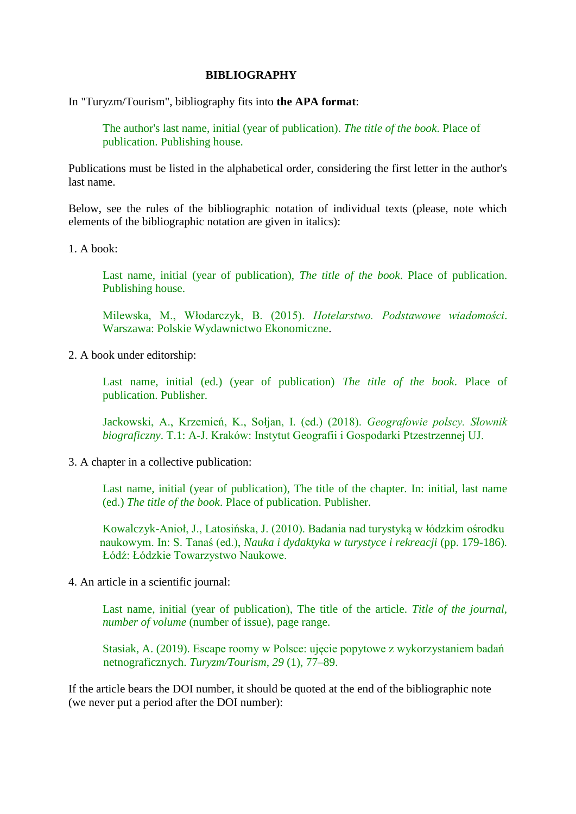### **BIBLIOGRAPHY**

In "Turyzm/Tourism", bibliography fits into **the APA format**:

The author's last name, initial (year of publication). *The title of the book*. Place of publication. Publishing house.

Publications must be listed in the alphabetical order, considering the first letter in the author's last name.

Below, see the rules of the bibliographic notation of individual texts (please, note which elements of the bibliographic notation are given in italics):

1. A book:

Last name, initial (year of publication), *The title of the book*. Place of publication. Publishing house.

Milewska, M., Włodarczyk, B. (2015). *Hotelarstwo. Podstawowe wiadomości*. Warszawa: Polskie Wydawnictwo Ekonomiczne.

2. A book under editorship:

Last name, initial (ed.) (year of publication) *The title of the book*. Place of publication. Publisher.

Jackowski, A., Krzemień, K., Sołjan, I. (ed.) (2018). *Geografowie polscy. Słownik biograficzny*. T.1: A-J. Kraków: Instytut Geografii i Gospodarki Ptzestrzennej UJ.

3. A chapter in a collective publication:

Last name, initial (year of publication), The title of the chapter. In: initial, last name (ed.) *The title of the book*. Place of publication. Publisher.

Kowalczyk-Anioł, J., Latosińska, J. (2010). Badania nad turystyką w łódzkim ośrodku naukowym. In: S. Tanaś (ed.), *Nauka i dydaktyka w turystyce i rekreacji* (pp. 179-186)*.*  Łódź: Łódzkie Towarzystwo Naukowe.

4. An article in a scientific journal:

Last name, initial (year of publication), The title of the article. *Title of the journal, number of volume* (number of issue), page range.

Stasiak, A. (2019). Escape roomy w Polsce: ujęcie popytowe z wykorzystaniem badań netnograficznych. *Turyzm/Tourism*, *29* (1), 77–89.

If the article bears the DOI number, it should be quoted at the end of the bibliographic note (we never put a period after the DOI number):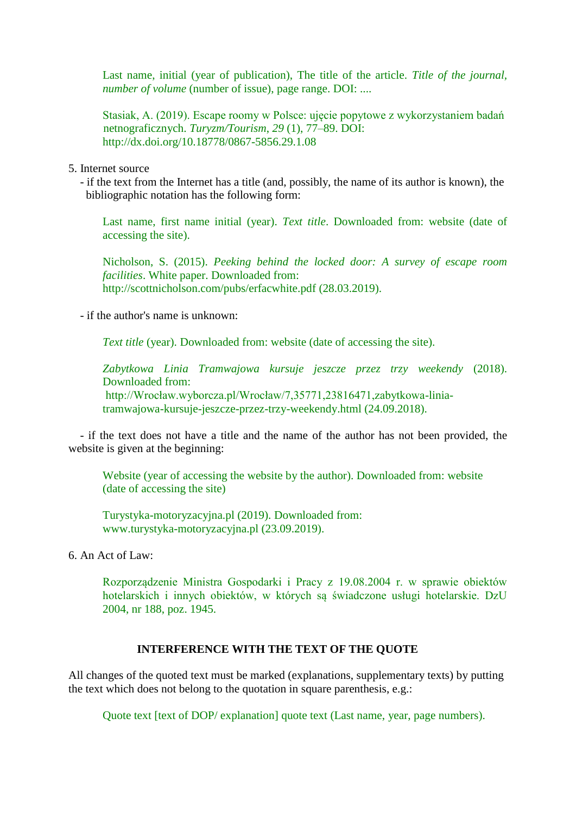Last name, initial (year of publication), The title of the article. *Title of the journal, number of volume* (number of issue), page range. DOI: ....

Stasiak, A. (2019). Escape roomy w Polsce: ujęcie popytowe z wykorzystaniem badań netnograficznych. *Turyzm/Tourism*, *29* (1), 77–89. DOI: http://dx.doi.org/10.18778/0867-5856.29.1.08

5. Internet source

 - if the text from the Internet has a title (and, possibly, the name of its author is known), the bibliographic notation has the following form:

Last name, first name initial (year). *Text title*. Downloaded from: website (date of accessing the site).

Nicholson, S. (2015). *Peeking behind the locked door: A survey of escape room facilities*. White paper. Downloaded from: http://scottnicholson.com/pubs/erfacwhite.pdf (28.03.2019).

- if the author's name is unknown:

*Text title* (year). Downloaded from: website (date of accessing the site).

*Zabytkowa Linia Tramwajowa kursuje jeszcze przez trzy weekendy* (2018). Downloaded from: http://Wrocław.wyborcza.pl/Wrocław/7,35771,23816471,zabytkowa-liniatramwajowa-kursuje-jeszcze-przez-trzy-weekendy.html (24.09.2018).

 - if the text does not have a title and the name of the author has not been provided, the website is given at the beginning:

Website (year of accessing the website by the author). Downloaded from: website (date of accessing the site)

Turystyka-motoryzacyjna.pl (2019). Downloaded from: www.turystyka-motoryzacyjna.pl (23.09.2019).

6. An Act of Law:

Rozporządzenie Ministra Gospodarki i Pracy z 19.08.2004 r. w sprawie obiektów hotelarskich i innych obiektów, w których są świadczone usługi hotelarskie. DzU 2004, nr 188, poz. 1945.

#### **INTERFERENCE WITH THE TEXT OF THE QUOTE**

All changes of the quoted text must be marked (explanations, supplementary texts) by putting the text which does not belong to the quotation in square parenthesis, e.g.:

Quote text [text of DOP/ explanation] quote text (Last name, year, page numbers).